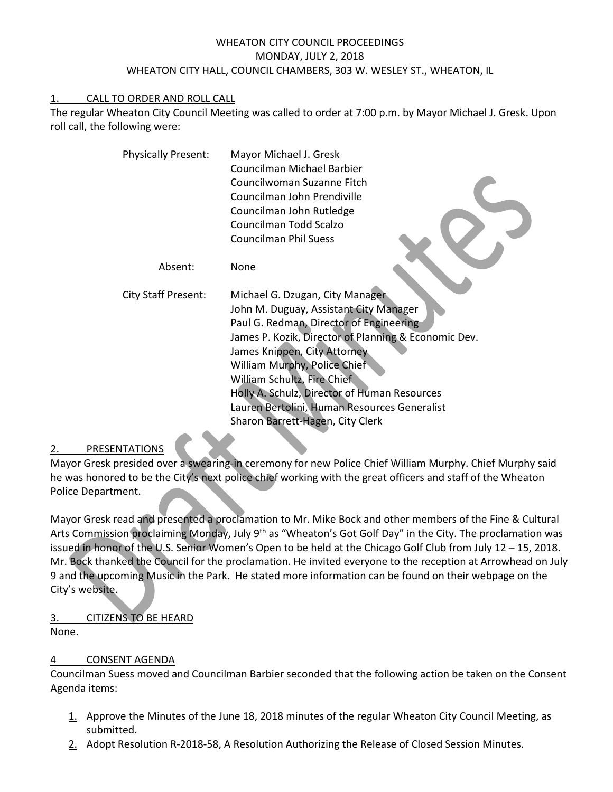## WHEATON CITY COUNCIL PROCEEDINGS MONDAY, JULY 2, 2018 WHEATON CITY HALL, COUNCIL CHAMBERS, 303 W. WESLEY ST., WHEATON, IL

## 1. CALL TO ORDER AND ROLL CALL

The regular Wheaton City Council Meeting was called to order at 7:00 p.m. by Mayor Michael J. Gresk. Upon roll call, the following were:

| <b>Physically Present:</b> | Mayor Michael J. Gresk<br>Councilman Michael Barbier<br>Councilwoman Suzanne Fitch<br>Councilman John Prendiville<br>Councilman John Rutledge<br>Councilman Todd Scalzo<br><b>Councilman Phil Suess</b>                                                                                                                                                                                                         |
|----------------------------|-----------------------------------------------------------------------------------------------------------------------------------------------------------------------------------------------------------------------------------------------------------------------------------------------------------------------------------------------------------------------------------------------------------------|
| Absent:                    | None                                                                                                                                                                                                                                                                                                                                                                                                            |
| <b>City Staff Present:</b> | Michael G. Dzugan, City Manager<br>John M. Duguay, Assistant City Manager<br>Paul G. Redman, Director of Engineering<br>James P. Kozik, Director of Planning & Economic Dev.<br>James Knippen, City Attorney<br>William Murphy, Police Chief<br>William Schultz, Fire Chief<br>Holly A. Schulz, Director of Human Resources<br>Lauren Bertolini, Human Resources Generalist<br>Sharon Barrett-Hagen, City Clerk |

### 2. PRESENTATIONS

Mayor Gresk presided over a swearing-in ceremony for new Police Chief William Murphy. Chief Murphy said he was honored to be the City's next police chief working with the great officers and staff of the Wheaton Police Department.

Mayor Gresk read and presented a proclamation to Mr. Mike Bock and other members of the Fine & Cultural Arts Commission proclaiming Monday, July 9<sup>th</sup> as "Wheaton's Got Golf Day" in the City. The proclamation was issued in honor of the U.S. Senior Women's Open to be held at the Chicago Golf Club from July 12 – 15, 2018. Mr. Bock thanked the Council for the proclamation. He invited everyone to the reception at Arrowhead on July 9 and the upcoming Music in the Park. He stated more information can be found on their webpage on the City's website.

#### 3. CITIZENS TO BE HEARD None.

## 4 CONSENT AGENDA

Councilman Suess moved and Councilman Barbier seconded that the following action be taken on the Consent Agenda items:

- 1. Approve the Minutes of the June 18, 2018 minutes of the regular Wheaton City Council Meeting, as submitted.
- 2. Adopt Resolution R-2018-58, A Resolution Authorizing the Release of Closed Session Minutes.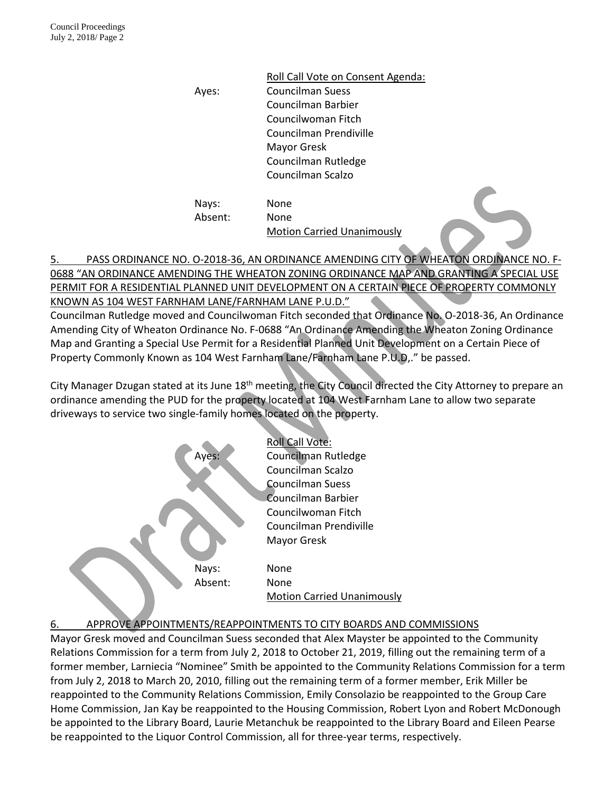Roll Call Vote on Consent Agenda: Ayes: Councilman Suess Councilman Barbier Councilwoman Fitch Councilman Prendiville Mayor Gresk Councilman Rutledge Councilman Scalzo

Nays: None Absent: None Motion Carried Unanimously

5. PASS ORDINANCE NO. O-2018-36, AN ORDINANCE AMENDING CITY OF WHEATON ORDINANCE NO. F-0688 "AN ORDINANCE AMENDING THE WHEATON ZONING ORDINANCE MAP AND GRANTING A SPECIAL USE PERMIT FOR A RESIDENTIAL PLANNED UNIT DEVELOPMENT ON A CERTAIN PIECE OF PROPERTY COMMONLY KNOWN AS 104 WEST FARNHAM LANE/FARNHAM LANE P.U.D."

Councilman Rutledge moved and Councilwoman Fitch seconded that Ordinance No. O-2018-36, An Ordinance Amending City of Wheaton Ordinance No. F-0688 "An Ordinance Amending the Wheaton Zoning Ordinance Map and Granting a Special Use Permit for a Residential Planned Unit Development on a Certain Piece of Property Commonly Known as 104 West Farnham Lane/Farnham Lane P.U.D,." be passed.

City Manager Dzugan stated at its June 18th meeting, the City Council directed the City Attorney to prepare an ordinance amending the PUD for the property located at 104 West Farnham Lane to allow two separate driveways to service two single-family homes located on the property.



# 6. APPROVE APPOINTMENTS/REAPPOINTMENTS TO CITY BOARDS AND COMMISSIONS

Mayor Gresk moved and Councilman Suess seconded that Alex Mayster be appointed to the Community Relations Commission for a term from July 2, 2018 to October 21, 2019, filling out the remaining term of a former member, Larniecia "Nominee" Smith be appointed to the Community Relations Commission for a term from July 2, 2018 to March 20, 2010, filling out the remaining term of a former member, Erik Miller be reappointed to the Community Relations Commission, Emily Consolazio be reappointed to the Group Care Home Commission, Jan Kay be reappointed to the Housing Commission, Robert Lyon and Robert McDonough be appointed to the Library Board, Laurie Metanchuk be reappointed to the Library Board and Eileen Pearse be reappointed to the Liquor Control Commission, all for three-year terms, respectively.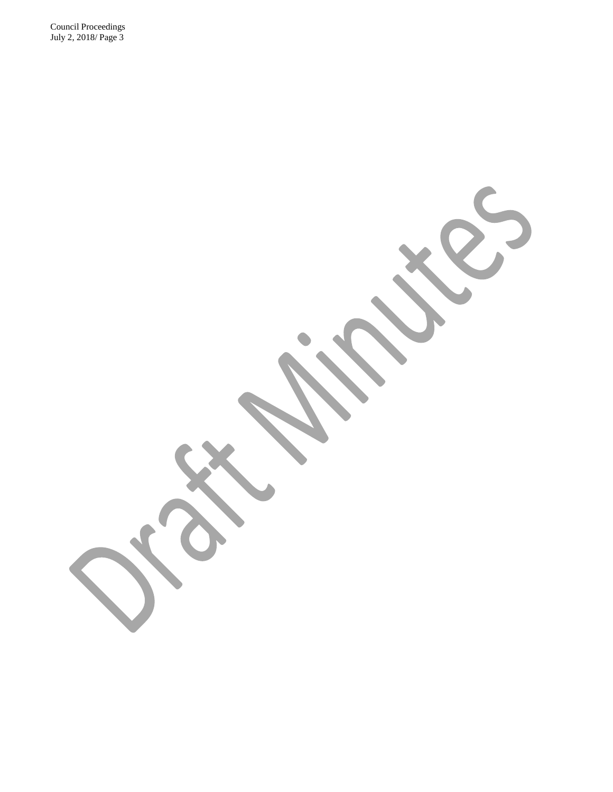Council Proceedings July 2, 2018/ Page 3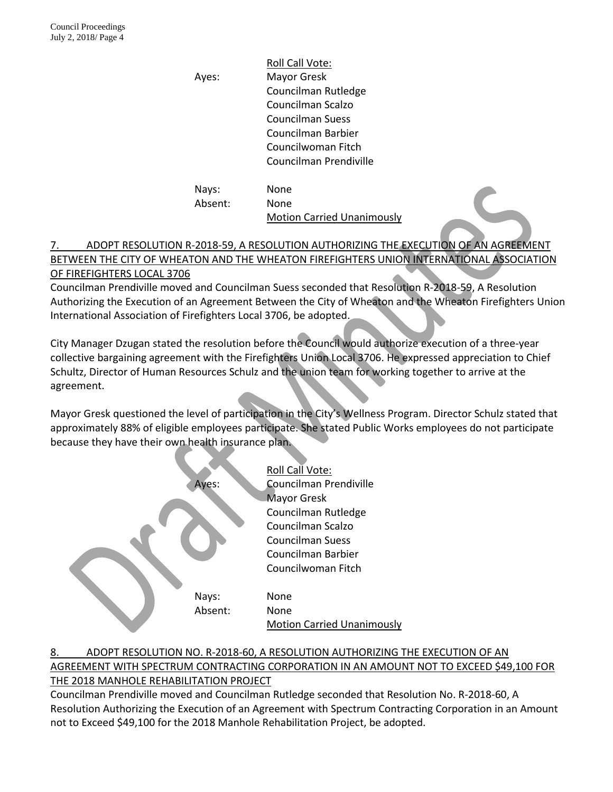Roll Call Vote: Ayes: Mayor Gresk Councilman Rutledge Councilman Scalzo Councilman Suess Councilman Barbier Councilwoman Fitch Councilman Prendiville

Nays: None Absent: None Motion Carried Unanimously

# 7. ADOPT RESOLUTION R-2018-59, A RESOLUTION AUTHORIZING THE EXECUTION OF AN AGREEMENT BETWEEN THE CITY OF WHEATON AND THE WHEATON FIREFIGHTERS UNION INTERNATIONAL ASSOCIATION OF FIREFIGHTERS LOCAL 3706

Councilman Prendiville moved and Councilman Suess seconded that Resolution R-2018-59, A Resolution Authorizing the Execution of an Agreement Between the City of Wheaton and the Wheaton Firefighters Union International Association of Firefighters Local 3706, be adopted.

City Manager Dzugan stated the resolution before the Council would authorize execution of a three-year collective bargaining agreement with the Firefighters Union Local 3706. He expressed appreciation to Chief Schultz, Director of Human Resources Schulz and the union team for working together to arrive at the agreement.

Mayor Gresk questioned the level of participation in the City's Wellness Program. Director Schulz stated that approximately 88% of eligible employees participate. She stated Public Works employees do not participate because they have their own health insurance plan.



# 8. ADOPT RESOLUTION NO. R-2018-60, A RESOLUTION AUTHORIZING THE EXECUTION OF AN AGREEMENT WITH SPECTRUM CONTRACTING CORPORATION IN AN AMOUNT NOT TO EXCEED \$49,100 FOR THE 2018 MANHOLE REHABILITATION PROJECT

Councilman Prendiville moved and Councilman Rutledge seconded that Resolution No. R-2018-60, A Resolution Authorizing the Execution of an Agreement with Spectrum Contracting Corporation in an Amount not to Exceed \$49,100 for the 2018 Manhole Rehabilitation Project, be adopted.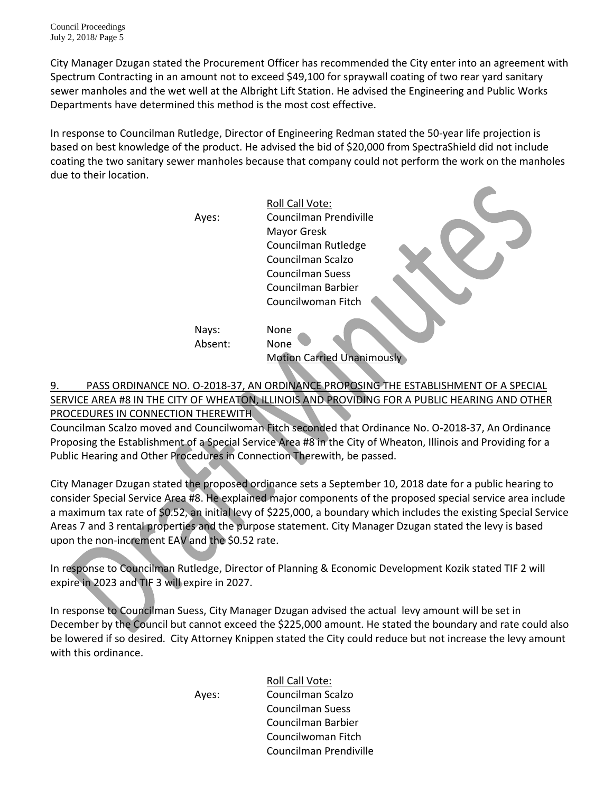City Manager Dzugan stated the Procurement Officer has recommended the City enter into an agreement with Spectrum Contracting in an amount not to exceed \$49,100 for spraywall coating of two rear yard sanitary sewer manholes and the wet well at the Albright Lift Station. He advised the Engineering and Public Works Departments have determined this method is the most cost effective.

In response to Councilman Rutledge, Director of Engineering Redman stated the 50-year life projection is based on best knowledge of the product. He advised the bid of \$20,000 from SpectraShield did not include coating the two sanitary sewer manholes because that company could not perform the work on the manholes due to their location.

|         | Roll Call Vote:                   |
|---------|-----------------------------------|
| Ayes:   | Councilman Prendiville            |
|         | Mayor Gresk                       |
|         | Councilman Rutledge               |
|         | Councilman Scalzo                 |
|         | <b>Councilman Suess</b>           |
|         | Councilman Barbier                |
|         | Councilwoman Fitch                |
|         |                                   |
| Nays:   | <b>None</b>                       |
| Absent: | None                              |
|         | <b>Motion Carried Unanimously</b> |

## 9. PASS ORDINANCE NO. O-2018-37, AN ORDINANCE PROPOSING THE ESTABLISHMENT OF A SPECIAL SERVICE AREA #8 IN THE CITY OF WHEATON, ILLINOIS AND PROVIDING FOR A PUBLIC HEARING AND OTHER PROCEDURES IN CONNECTION THEREWITH

Councilman Scalzo moved and Councilwoman Fitch seconded that Ordinance No. O-2018-37, An Ordinance Proposing the Establishment of a Special Service Area #8 in the City of Wheaton, Illinois and Providing for a Public Hearing and Other Procedures in Connection Therewith, be passed.

City Manager Dzugan stated the proposed ordinance sets a September 10, 2018 date for a public hearing to consider Special Service Area #8. He explained major components of the proposed special service area include a maximum tax rate of \$0.52, an initial levy of \$225,000, a boundary which includes the existing Special Service Areas 7 and 3 rental properties and the purpose statement. City Manager Dzugan stated the levy is based upon the non-increment EAV and the \$0.52 rate.

In response to Councilman Rutledge, Director of Planning & Economic Development Kozik stated TIF 2 will expire in 2023 and TIF 3 will expire in 2027.

In response to Councilman Suess, City Manager Dzugan advised the actual levy amount will be set in December by the Council but cannot exceed the \$225,000 amount. He stated the boundary and rate could also be lowered if so desired. City Attorney Knippen stated the City could reduce but not increase the levy amount with this ordinance.

Roll Call Vote: Ayes: Councilman Scalzo Councilman Suess Councilman Barbier Councilwoman Fitch Councilman Prendiville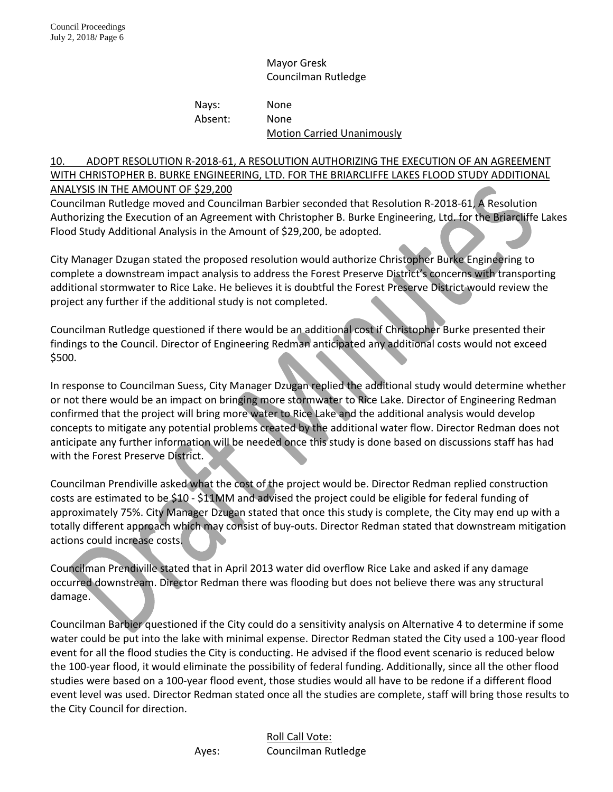Mayor Gresk Councilman Rutledge

Nays: None Absent: None Motion Carried Unanimously

## 10. ADOPT RESOLUTION R-2018-61, A RESOLUTION AUTHORIZING THE EXECUTION OF AN AGREEMENT WITH CHRISTOPHER B. BURKE ENGINEERING, LTD. FOR THE BRIARCLIFFE LAKES FLOOD STUDY ADDITIONAL ANALYSIS IN THE AMOUNT OF \$29,200

Councilman Rutledge moved and Councilman Barbier seconded that Resolution R-2018-61, A Resolution Authorizing the Execution of an Agreement with Christopher B. Burke Engineering, Ltd. for the Briarcliffe Lakes Flood Study Additional Analysis in the Amount of \$29,200, be adopted.

City Manager Dzugan stated the proposed resolution would authorize Christopher Burke Engineering to complete a downstream impact analysis to address the Forest Preserve District's concerns with transporting additional stormwater to Rice Lake. He believes it is doubtful the Forest Preserve District would review the project any further if the additional study is not completed.

Councilman Rutledge questioned if there would be an additional cost if Christopher Burke presented their findings to the Council. Director of Engineering Redman anticipated any additional costs would not exceed \$500.

In response to Councilman Suess, City Manager Dzugan replied the additional study would determine whether or not there would be an impact on bringing more stormwater to Rice Lake. Director of Engineering Redman confirmed that the project will bring more water to Rice Lake and the additional analysis would develop concepts to mitigate any potential problems created by the additional water flow. Director Redman does not anticipate any further information will be needed once this study is done based on discussions staff has had with the Forest Preserve District.

Councilman Prendiville asked what the cost of the project would be. Director Redman replied construction costs are estimated to be \$10 - \$11MM and advised the project could be eligible for federal funding of approximately 75%. City Manager Dzugan stated that once this study is complete, the City may end up with a totally different approach which may consist of buy-outs. Director Redman stated that downstream mitigation actions could increase costs.

Councilman Prendiville stated that in April 2013 water did overflow Rice Lake and asked if any damage occurred downstream. Director Redman there was flooding but does not believe there was any structural damage.

Councilman Barbier questioned if the City could do a sensitivity analysis on Alternative 4 to determine if some water could be put into the lake with minimal expense. Director Redman stated the City used a 100-year flood event for all the flood studies the City is conducting. He advised if the flood event scenario is reduced below the 100-year flood, it would eliminate the possibility of federal funding. Additionally, since all the other flood studies were based on a 100-year flood event, those studies would all have to be redone if a different flood event level was used. Director Redman stated once all the studies are complete, staff will bring those results to the City Council for direction.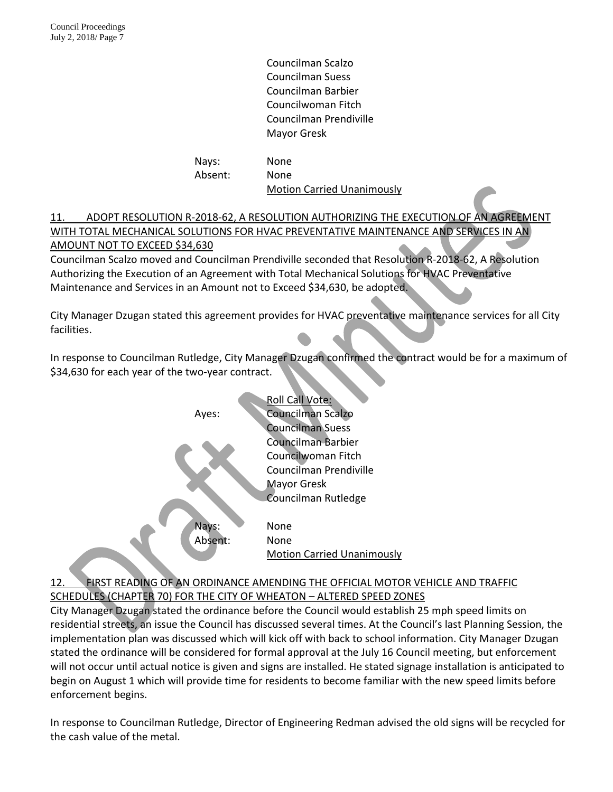Councilman Scalzo Councilman Suess Councilman Barbier Councilwoman Fitch Councilman Prendiville Mayor Gresk

Nays: None Absent: None Motion Carried Unanimously

11. ADOPT RESOLUTION R-2018-62, A RESOLUTION AUTHORIZING THE EXECUTION OF AN AGREEMENT WITH TOTAL MECHANICAL SOLUTIONS FOR HVAC PREVENTATIVE MAINTENANCE AND SERVICES IN AN AMOUNT NOT TO EXCEED \$34,630

Councilman Scalzo moved and Councilman Prendiville seconded that Resolution R-2018-62, A Resolution Authorizing the Execution of an Agreement with Total Mechanical Solutions for HVAC Preventative Maintenance and Services in an Amount not to Exceed \$34,630, be adopted.

City Manager Dzugan stated this agreement provides for HVAC preventative maintenance services for all City facilities.

In response to Councilman Rutledge, City Manager Dzugan confirmed the contract would be for a maximum of \$34,630 for each year of the two-year contract.



### 12. FIRST READING OF AN ORDINANCE AMENDING THE OFFICIAL MOTOR VEHICLE AND TRAFFIC SCHEDULES (CHAPTER 70) FOR THE CITY OF WHEATON – ALTERED SPEED ZONES

City Manager Dzugan stated the ordinance before the Council would establish 25 mph speed limits on residential streets, an issue the Council has discussed several times. At the Council's last Planning Session, the implementation plan was discussed which will kick off with back to school information. City Manager Dzugan stated the ordinance will be considered for formal approval at the July 16 Council meeting, but enforcement will not occur until actual notice is given and signs are installed. He stated signage installation is anticipated to begin on August 1 which will provide time for residents to become familiar with the new speed limits before enforcement begins.

In response to Councilman Rutledge, Director of Engineering Redman advised the old signs will be recycled for the cash value of the metal.